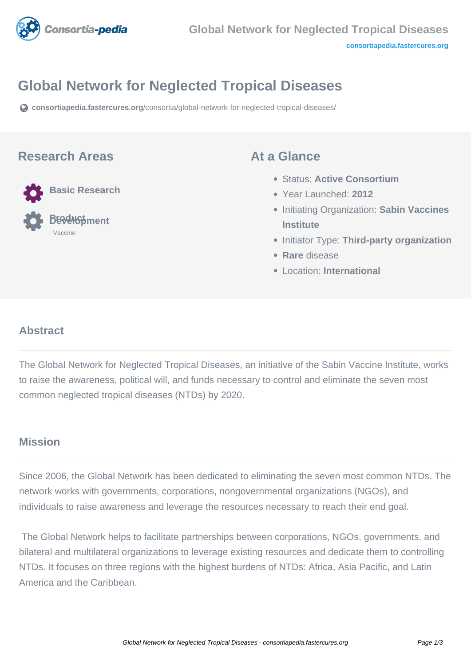

# **Global Network for Neglected Tropical Diseases**

**[consortiapedia.fastercures.org](https://consortiapedia.fastercures.org/consortia/global-network-for-neglected-tropical-diseases/)**[/consortia/global-network-for-neglected-tropical-diseases/](https://consortiapedia.fastercures.org/consortia/global-network-for-neglected-tropical-diseases/)

#### **Research Areas**



 **Product Development** Vaccine

#### **At a Glance**

- Status: **Active Consortium**
- Year Launched: **2012**
- **Initiating Organization: Sabin Vaccines Institute**
- **Initiator Type: Third-party organization**
- **Rare** disease
- Location: **International**

#### **Abstract**

The Global Network for Neglected Tropical Diseases, an initiative of the Sabin Vaccine Institute, works to raise the awareness, political will, and funds necessary to control and eliminate the seven most common neglected tropical diseases (NTDs) by 2020.

#### **Mission**

Since 2006, the Global Network has been dedicated to eliminating the seven most common NTDs. The network works with governments, corporations, nongovernmental organizations (NGOs), and individuals to raise awareness and leverage the resources necessary to reach their end goal.

 The Global Network helps to facilitate partnerships between corporations, NGOs, governments, and bilateral and multilateral organizations to leverage existing resources and dedicate them to controlling NTDs. It focuses on three regions with the highest burdens of NTDs: Africa, Asia Pacific, and Latin America and the Caribbean.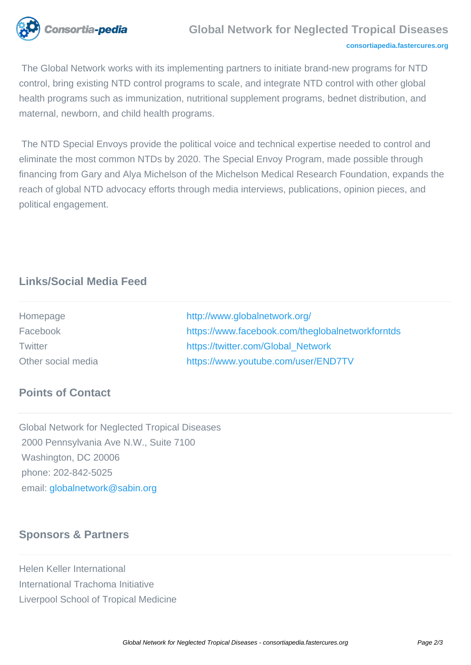

## **Global Network for Neglected Tropical Diseases**

#### **[consortiapedia.fastercures.org](http://consortiapedia.fastercures.org/)**

 The Global Network works with its implementing partners to initiate brand-new programs for NTD control, bring existing NTD control programs to scale, and integrate NTD control with other global health programs such as immunization, nutritional supplement programs, bednet distribution, and maternal, newborn, and child health programs.

 The NTD Special Envoys provide the political voice and technical expertise needed to control and eliminate the most common NTDs by 2020. The Special Envoy Program, made possible through financing from Gary and Alya Michelson of the Michelson Medical Research Foundation, expands the reach of global NTD advocacy efforts through media interviews, publications, opinion pieces, and political engagement.

# **Links/Social Media Feed**

| Homepage           | http://www.globalnetwork.org/                    |
|--------------------|--------------------------------------------------|
| Facebook           | https://www.facebook.com/theglobalnetworkforntds |
| Twitter            | https://twitter.com/Global Network               |
| Other social media | https://www.youtube.com/user/END7TV              |

#### **Points of Contact**

Global Network for Neglected Tropical Diseases 2000 Pennsylvania Ave N.W., Suite 7100 Washington, DC 20006 phone: 202-842-5025 email[: globalnetwork@sabin.org](mailto:globalnetwork@sabin.org)

## **Sponsors & Partners**

Helen Keller International International Trachoma Initiative Liverpool School of Tropical Medicine